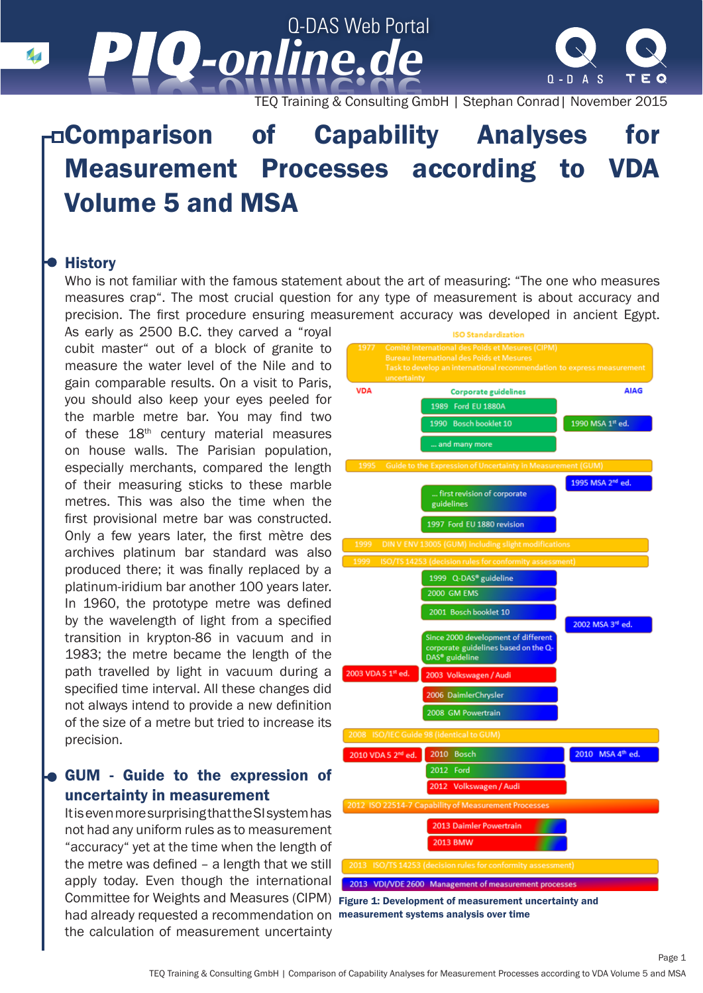Q-DAS Web Portal *-online.de -online.de*  $\sqrt{2}$ 



TEQ Training & Consulting GmbH | Stephan Conrad| November 2015

# Comparison of Capability Analyses for Measurement Processes according to VDA Volume 5 and MSA

### **History**

Who is not familiar with the famous statement about the art of measuring: "The one who measures measures crap". The most crucial question for any type of measurement is about accuracy and precision. The first procedure ensuring measurement accuracy was developed in ancient Egypt.

As early as 2500 B.C. they carved a "royal cubit master" out of a block of granite to measure the water level of the Nile and to gain comparable results. On a visit to Paris, you should also keep your eyes peeled for the marble metre bar. You may find two of these 18<sup>th</sup> century material measures on house walls. The Parisian population, especially merchants, compared the length of their measuring sticks to these marble metres. This was also the time when the first provisional metre bar was constructed. Only a few years later, the first mètre des archives platinum bar standard was also produced there; it was finally replaced by a platinum-iridium bar another 100 years later. In 1960, the prototype metre was defined by the wavelength of light from a specified transition in krypton-86 in vacuum and in 1983; the metre became the length of the path travelled by light in vacuum during a specified time interval. All these changes did not always intend to provide a new definition of the size of a metre but tried to increase its precision.

# GUM - Guide to the expression of uncertainty in measurement

It is even more surprising that the SI system has not had any uniform rules as to measurement "accuracy" yet at the time when the length of the metre was defined – a length that we still apply today. Even though the international Committee for Weights and Measures (CIPM) Figure 1: Development of measurement uncertainty and had already requested a recommendation on measurement systems analysis over timethe calculation of measurement uncertainty



Page 1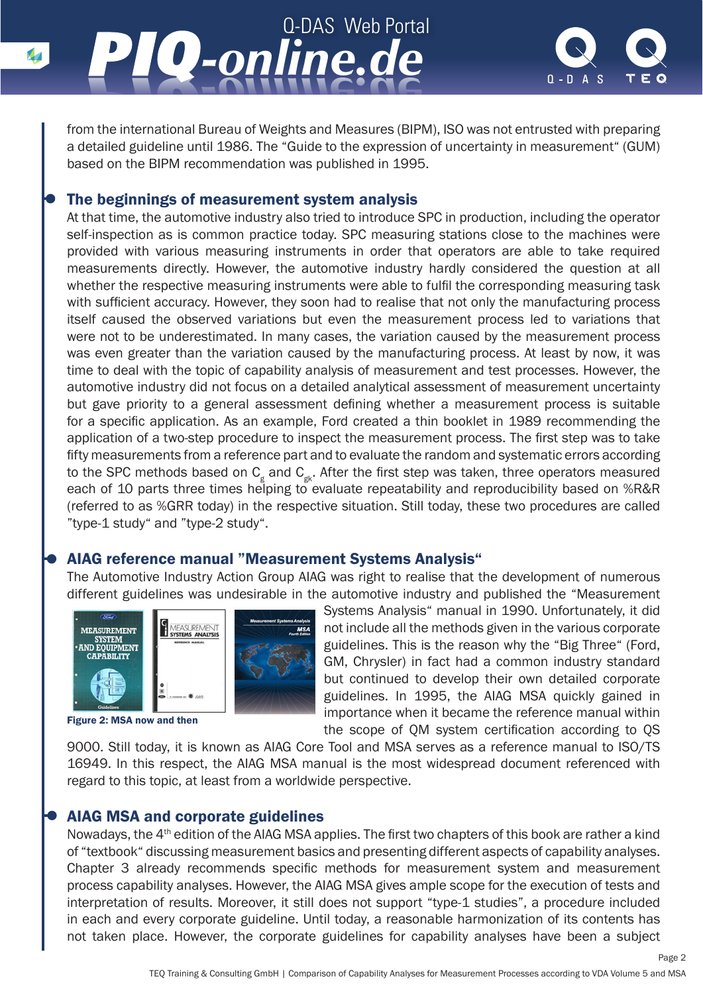



from the international Bureau of Weights and Measures (BIPM), ISO was not entrusted with preparing a detailed guideline until 1986. The "Guide to the expression of uncertainty in measurement" (GUM) based on the BIPM recommendation was published in 1995.

## The beginnings of measurement system analysis

At that time, the automotive industry also tried to introduce SPC in production, including the operator self-inspection as is common practice today. SPC measuring stations close to the machines were provided with various measuring instruments in order that operators are able to take required measurements directly. However, the automotive industry hardly considered the question at all whether the respective measuring instruments were able to fulfil the corresponding measuring task with sufficient accuracy. However, they soon had to realise that not only the manufacturing process itself caused the observed variations but even the measurement process led to variations that were not to be underestimated. In many cases, the variation caused by the measurement process was even greater than the variation caused by the manufacturing process. At least by now, it was time to deal with the topic of capability analysis of measurement and test processes. However, the automotive industry did not focus on a detailed analytical assessment of measurement uncertainty but gave priority to a general assessment defining whether a measurement process is suitable for a specific application. As an example, Ford created a thin booklet in 1989 recommending the application of a two-step procedure to inspect the measurement process. The first step was to take fifty measurements from a reference part and to evaluate the random and systematic errors according to the SPC methods based on  $\texttt{C}_\text{\tiny g}$  and  $\texttt{C}_\text{\tiny gk}$ . After the first step was taken, three operators measured each of 10 parts three times helping to evaluate repeatability and reproducibility based on %R&R (referred to as %GRR today) in the respective situation. Still today, these two procedures are called "type-1 study" and "type-2 study".

### AIAG reference manual "Measurement Systems Analysis"

The Automotive Industry Action Group AIAG was right to realise that the development of numerous different guidelines was undesirable in the automotive industry and published the "Measurement



Figure 2: MSA now and then

Systems Analysis" manual in 1990. Unfortunately, it did not include all the methods given in the various corporate guidelines. This is the reason why the "Big Three" (Ford, GM, Chrysler) in fact had a common industry standard but continued to develop their own detailed corporate guidelines. In 1995, the AIAG MSA quickly gained in importance when it became the reference manual within the scope of QM system certification according to QS

9000. Still today, it is known as AIAG Core Tool and MSA serves as a reference manual to ISO/TS 16949. In this respect, the AIAG MSA manual is the most widespread document referenced with regard to this topic, at least from a worldwide perspective.

### AIAG MSA and corporate guidelines

Nowadays, the 4th edition of the AIAG MSA applies. The first two chapters of this book are rather a kind of "textbook" discussing measurement basics and presenting different aspects of capability analyses. Chapter 3 already recommends specific methods for measurement system and measurement process capability analyses. However, the AIAG MSA gives ample scope for the execution of tests and interpretation of results. Moreover, it still does not support "type-1 studies", a procedure included in each and every corporate guideline. Until today, a reasonable harmonization of its contents has not taken place. However, the corporate guidelines for capability analyses have been a subject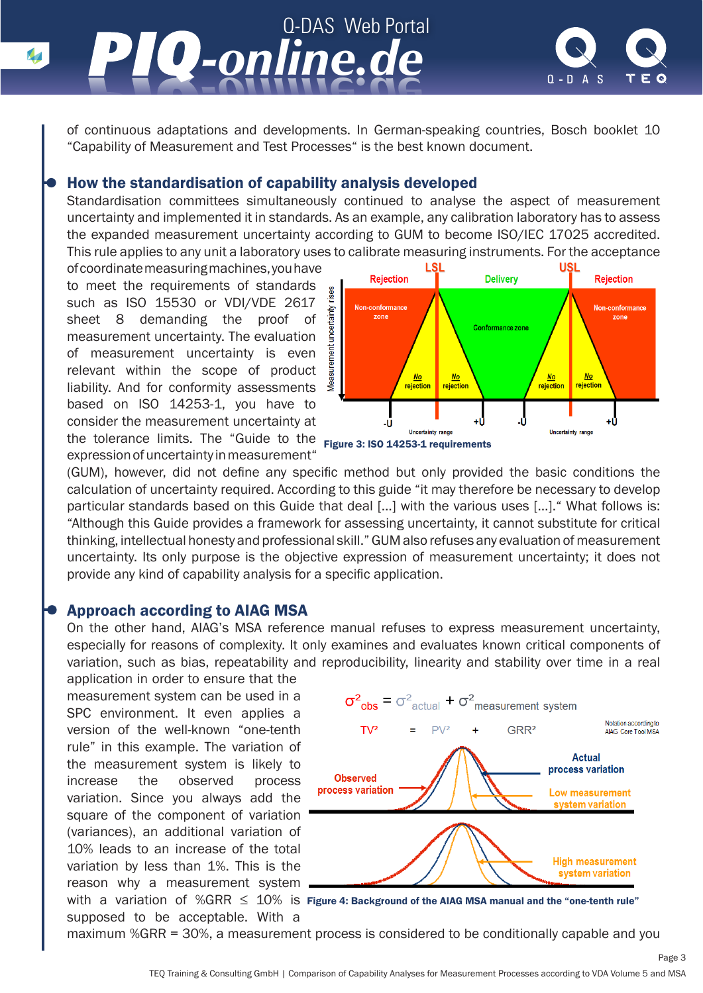

of continuous adaptations and developments. In German-speaking countries, Bosch booklet 10 "Capability of Measurement and Test Processes" is the best known document.

#### How the standardisation of capability analysis developed

Standardisation committees simultaneously continued to analyse the aspect of measurement uncertainty and implemented it in standards. As an example, any calibration laboratory has to assess the expanded measurement uncertainty according to GUM to become ISO/IEC 17025 accredited. This rule applies to any unit a laboratory uses to calibrate measuring instruments. For the acceptance

of coordinate measuring machines, you have to meet the requirements of standards such as ISO 15530 or VDI/VDE 2617 sheet 8 demanding the proof of measurement uncertainty. The evaluation of measurement uncertainty is even relevant within the scope of product liability. And for conformity assessments based on ISO 14253-1, you have to consider the measurement uncertainty at the tolerance limits. The "Guide to the <sub>Figure</sub> 3: **ISO 14253-1 requirements** expression of uncertainty in measurement"



(GUM), however, did not define any specific method but only provided the basic conditions the calculation of uncertainty required. According to this guide "it may therefore be necessary to develop particular standards based on this Guide that deal […] with the various uses […]." What follows is: "Although this Guide provides a framework for assessing uncertainty, it cannot substitute for critical thinking, intellectual honesty and professional skill." GUM also refuses any evaluation of measurement uncertainty. Its only purpose is the objective expression of measurement uncertainty; it does not provide any kind of capability analysis for a specific application.

#### Approach according to AIAG MSA

On the other hand, AIAG's MSA reference manual refuses to express measurement uncertainty, especially for reasons of complexity. It only examines and evaluates known critical components of variation, such as bias, repeatability and reproducibility, linearity and stability over time in a real

application in order to ensure that the measurement system can be used in a SPC environment. It even applies a version of the well-known "one-tenth rule" in this example. The variation of the measurement system is likely to increase the observed process variation. Since you always add the square of the component of variation (variances), an additional variation of 10% leads to an increase of the total variation by less than 1%. This is the reason why a measurement system supposed to be acceptable. With a



with  $\,$  a  $\,$  variation  $\,$  of  $\,$  %GRR  $\, \leq \, 10\% \,$  is Figure 4: Background of the AIAG MSA manual and the "one-tenth rule"

Page 3

maximum %GRR = 30%, a measurement process is considered to be conditionally capable and you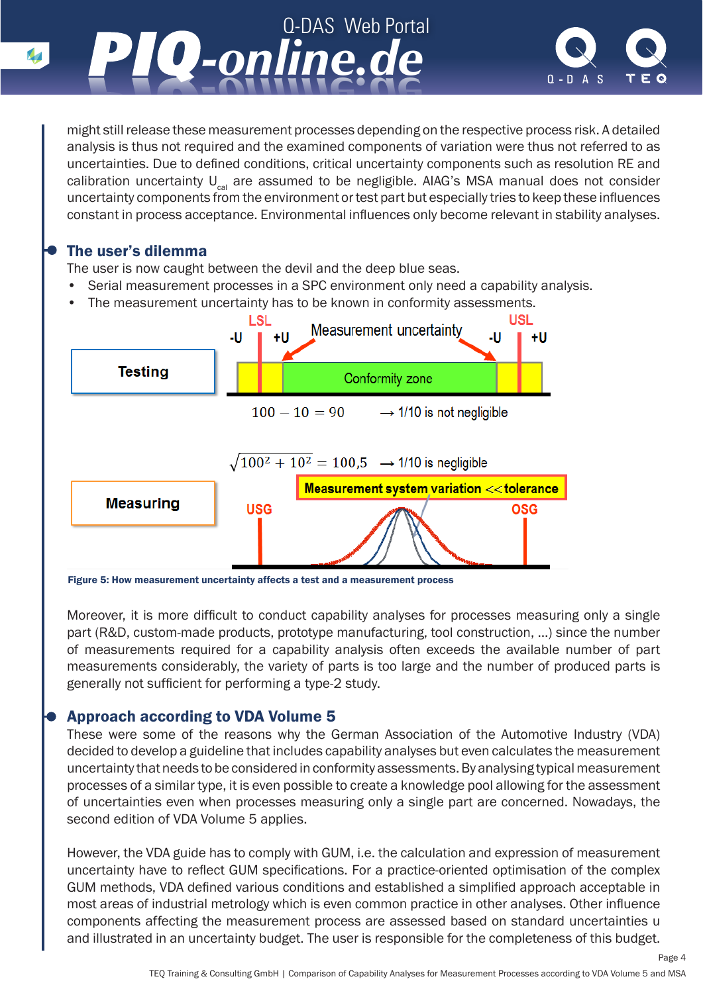

might still release these measurement processes depending on the respective process risk. A detailed analysis is thus not required and the examined components of variation were thus not referred to as uncertainties. Due to defined conditions, critical uncertainty components such as resolution RE and calibration uncertainty  $U_{\text{cal}}$  are assumed to be negligible. AIAG's MSA manual does not consider uncertainty components from the environment or test part but especially tries to keep these influences constant in process acceptance. Environmental influences only become relevant in stability analyses.

# The user's dilemma

The user is now caught between the devil and the deep blue seas.

- Serial measurement processes in a SPC environment only need a capability analysis.
- The measurement uncertainty has to be known in conformity assessments.



Figure 5: How measurement uncertainty affects a test and a measurement process

Moreover, it is more difficult to conduct capability analyses for processes measuring only a single part (R&D, custom-made products, prototype manufacturing, tool construction, …) since the number of measurements required for a capability analysis often exceeds the available number of part measurements considerably, the variety of parts is too large and the number of produced parts is generally not sufficient for performing a type-2 study.

# Approach according to VDA Volume 5

These were some of the reasons why the German Association of the Automotive Industry (VDA) decided to develop a guideline that includes capability analyses but even calculates the measurement uncertainty that needs to be considered in conformity assessments. By analysing typical measurement processes of a similar type, it is even possible to create a knowledge pool allowing for the assessment of uncertainties even when processes measuring only a single part are concerned. Nowadays, the second edition of VDA Volume 5 applies.

However, the VDA guide has to comply with GUM, i.e. the calculation and expression of measurement uncertainty have to reflect GUM specifications. For a practice-oriented optimisation of the complex GUM methods, VDA defined various conditions and established a simplified approach acceptable in most areas of industrial metrology which is even common practice in other analyses. Other influence components affecting the measurement process are assessed based on standard uncertainties u and illustrated in an uncertainty budget. The user is responsible for the completeness of this budget.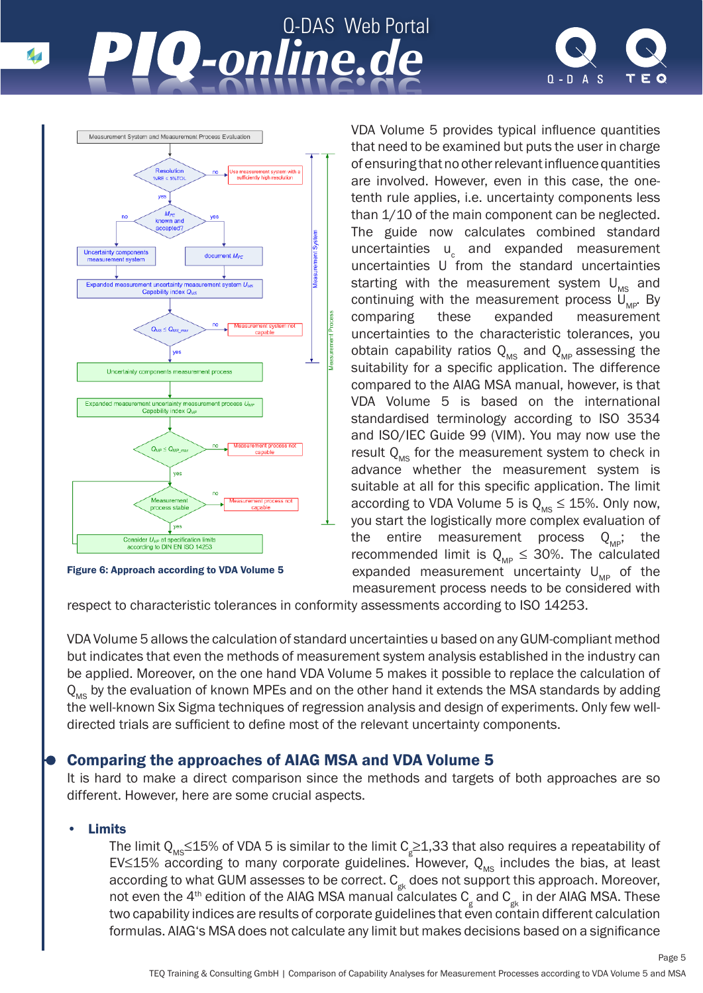# Q-DAS Web Portal *-online.de -online.de*



Page 5



Figure 6: Approach according to VDA Volume 5

VDA Volume 5 provides typical influence quantities that need to be examined but puts the user in charge of ensuring that no other relevant influence quantities are involved. However, even in this case, the onetenth rule applies, i.e. uncertainty components less than 1/10 of the main component can be neglected. The guide now calculates combined standard uncertainties u<sub>c</sub> and expanded measurement uncertainties U from the standard uncertainties starting with the measurement system  $U_{\text{MS}}$  and continuing with the measurement process  $U_{MP}$ . By comparing these expanded measurement measurement uncertainties to the characteristic tolerances, you obtain capability ratios  $Q_{MS}$  and  $Q_{MB}$  assessing the suitability for a specific application. The difference compared to the AIAG MSA manual, however, is that VDA Volume 5 is based on the international standardised terminology according to ISO 3534 and ISO/IEC Guide 99 (VIM). You may now use the result  $Q_{\text{MS}}$  for the measurement system to check in advance whether the measurement system is suitable at all for this specific application. The limit according to VDA Volume 5 is  $Q_{MS} \le 15\%$ . Only now, you start the logistically more complex evaluation of the entire measurement process  $Q_{\text{MSP}}$ ; the recommended limit is  $Q_{MP} \leq 30\%$ . The calculated expanded measurement uncertainty  $U_{\text{MP}}$  of the measurement process needs to be considered with

respect to characteristic tolerances in conformity assessments according to ISO 14253.

VDA Volume 5 allows the calculation of standard uncertainties u based on any GUM-compliant method but indicates that even the methods of measurement system analysis established in the industry can be applied. Moreover, on the one hand VDA Volume 5 makes it possible to replace the calculation of  $Q_{\text{MS}}$  by the evaluation of known MPEs and on the other hand it extends the MSA standards by adding the well-known Six Sigma techniques of regression analysis and design of experiments. Only few welldirected trials are sufficient to define most of the relevant uncertainty components.

# Comparing the approaches of AIAG MSA and VDA Volume 5

It is hard to make a direct comparison since the methods and targets of both approaches are so different. However, here are some crucial aspects.

#### **Limits**

The limit  $\mathsf{Q}_\mathsf{MS}\!\!\leq\!\! 15\%$  of VDA 5 is similar to the limit  $\mathsf{C}_\mathsf{g}\!\!\geq\!\! 1,\!33$  that also requires a repeatability of EV≤15% according to many corporate guidelines. However,  $Q_{MS}$  includes the bias, at least according to what GUM assesses to be correct.  $C_{gk}$  does not support this approach. Moreover, not even the 4<sup>th</sup> edition of the AIAG MSA manual calculates  $\mathsf{C}_{_{\mathsf{g}}}$  and  $\mathsf{C}_{_{\mathsf{g}^{\mathsf{K}}}}$  in der AIAG MSA. These two capability indices are results of corporate guidelines that even contain different calculation formulas. AIAG's MSA does not calculate any limit but makes decisions based on a significance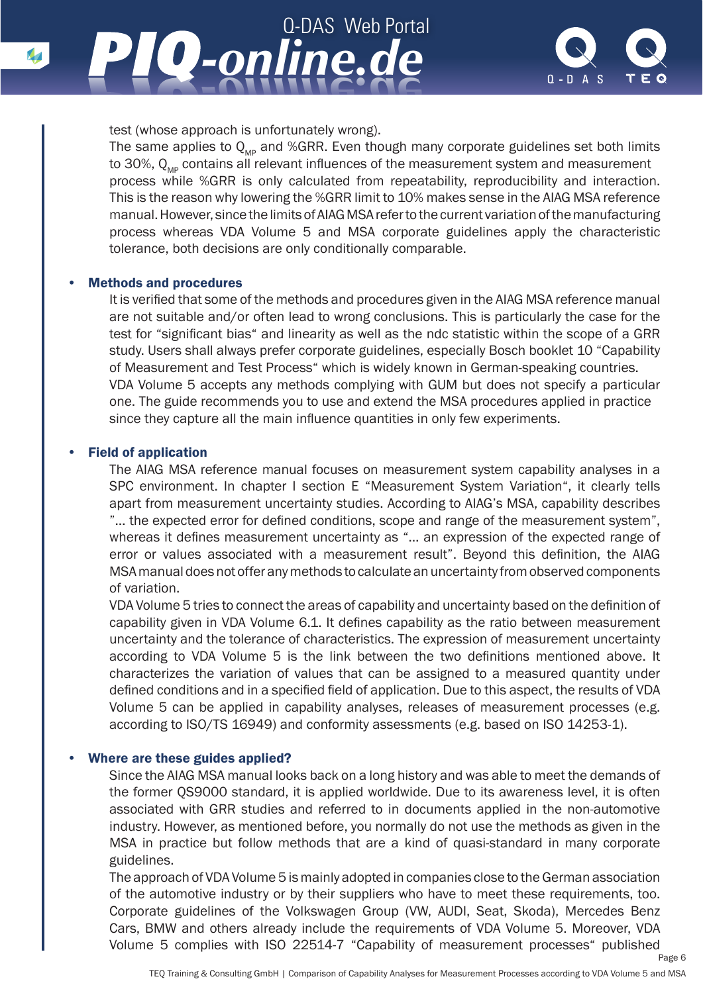



test (whose approach is unfortunately wrong).

The same applies to  $Q_{MP}$  and %GRR. Even though many corporate guidelines set both limits to 30%,  $Q_{\text{MP}}$  contains all relevant influences of the measurement system and measurement process while %GRR is only calculated from repeatability, reproducibility and interaction. This is the reason why lowering the %GRR limit to 10% makes sense in the AIAG MSA reference manual. However, since the limits of AIAG MSA refer to the current variation of the manufacturing process whereas VDA Volume 5 and MSA corporate guidelines apply the characteristic tolerance, both decisions are only conditionally comparable.

#### • Methods and procedures

 It is verified that some of the methods and procedures given in the AIAG MSA reference manual are not suitable and/or often lead to wrong conclusions. This is particularly the case for the test for "significant bias" and linearity as well as the ndc statistic within the scope of a GRR study. Users shall always prefer corporate guidelines, especially Bosch booklet 10 "Capability of Measurement and Test Process" which is widely known in German-speaking countries. VDA Volume 5 accepts any methods complying with GUM but does not specify a particular one. The guide recommends you to use and extend the MSA procedures applied in practice since they capture all the main influence quantities in only few experiments.

#### • Field of application

 The AIAG MSA reference manual focuses on measurement system capability analyses in a SPC environment. In chapter I section E "Measurement System Variation", it clearly tells apart from measurement uncertainty studies. According to AIAG's MSA, capability describes "... the expected error for defined conditions, scope and range of the measurement system", whereas it defines measurement uncertainty as "... an expression of the expected range of error or values associated with a measurement result". Beyond this definition, the AIAG MSA manual does not offer any methods to calculate an uncertainty from observed components of variation.

VDA Volume 5 tries to connect the areas of capability and uncertainty based on the definition of capability given in VDA Volume 6.1. It defines capability as the ratio between measurement uncertainty and the tolerance of characteristics. The expression of measurement uncertainty according to VDA Volume 5 is the link between the two definitions mentioned above. It characterizes the variation of values that can be assigned to a measured quantity under defined conditions and in a specified field of application. Due to this aspect, the results of VDA Volume 5 can be applied in capability analyses, releases of measurement processes (e.g. according to ISO/TS 16949) and conformity assessments (e.g. based on ISO 14253-1).

#### • Where are these guides applied?

 Since the AIAG MSA manual looks back on a long history and was able to meet the demands of the former QS9000 standard, it is applied worldwide. Due to its awareness level, it is often associated with GRR studies and referred to in documents applied in the non-automotive industry. However, as mentioned before, you normally do not use the methods as given in the MSA in practice but follow methods that are a kind of quasi-standard in many corporate guidelines.

The approach of VDA Volume 5 is mainly adopted in companies close to the German association of the automotive industry or by their suppliers who have to meet these requirements, too. Corporate guidelines of the Volkswagen Group (VW, AUDI, Seat, Skoda), Mercedes Benz Cars, BMW and others already include the requirements of VDA Volume 5. Moreover, VDA Volume 5 complies with ISO 22514-7 "Capability of measurement processes" published